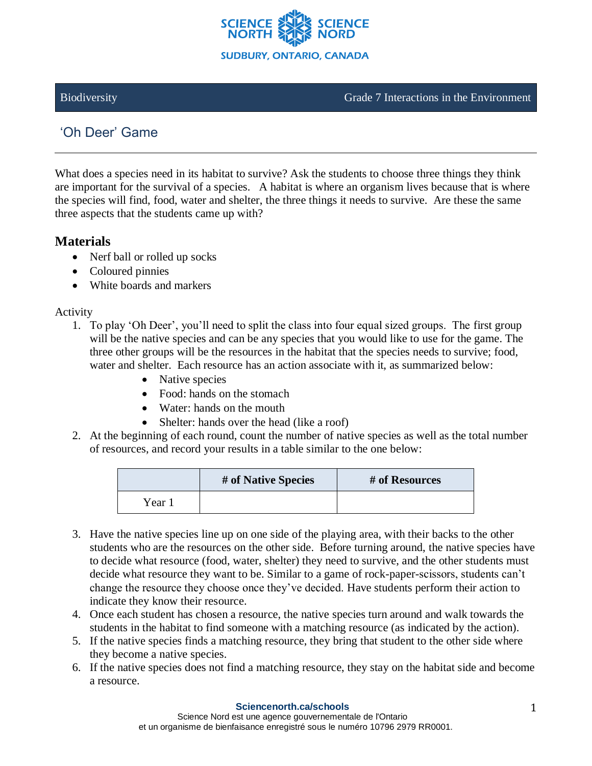

Biodiversity Grade 7 Interactions in the Environment

# 'Oh Deer' Game

What does a species need in its habitat to survive? Ask the students to choose three things they think are important for the survival of a species. A habitat is where an organism lives because that is where the species will find, food, water and shelter, the three things it needs to survive. Are these the same three aspects that the students came up with?

#### **Materials**

- Nerf ball or rolled up socks
- Coloured pinnies
- White boards and markers

#### Activity

- 1. To play 'Oh Deer', you'll need to split the class into four equal sized groups. The first group will be the native species and can be any species that you would like to use for the game. The three other groups will be the resources in the habitat that the species needs to survive; food, water and shelter. Each resource has an action associate with it, as summarized below:
	- Native species
	- Food: hands on the stomach
	- Water: hands on the mouth
	- Shelter: hands over the head (like a roof)
- 2. At the beginning of each round, count the number of native species as well as the total number of resources, and record your results in a table similar to the one below:

|      | # of Native Species | # of Resources |
|------|---------------------|----------------|
| Year |                     |                |

- 3. Have the native species line up on one side of the playing area, with their backs to the other students who are the resources on the other side. Before turning around, the native species have to decide what resource (food, water, shelter) they need to survive, and the other students must decide what resource they want to be. Similar to a game of rock-paper-scissors, students can't change the resource they choose once they've decided. Have students perform their action to indicate they know their resource.
- 4. Once each student has chosen a resource, the native species turn around and walk towards the students in the habitat to find someone with a matching resource (as indicated by the action).
- 5. If the native species finds a matching resource, they bring that student to the other side where they become a native species.
- 6. If the native species does not find a matching resource, they stay on the habitat side and become a resource.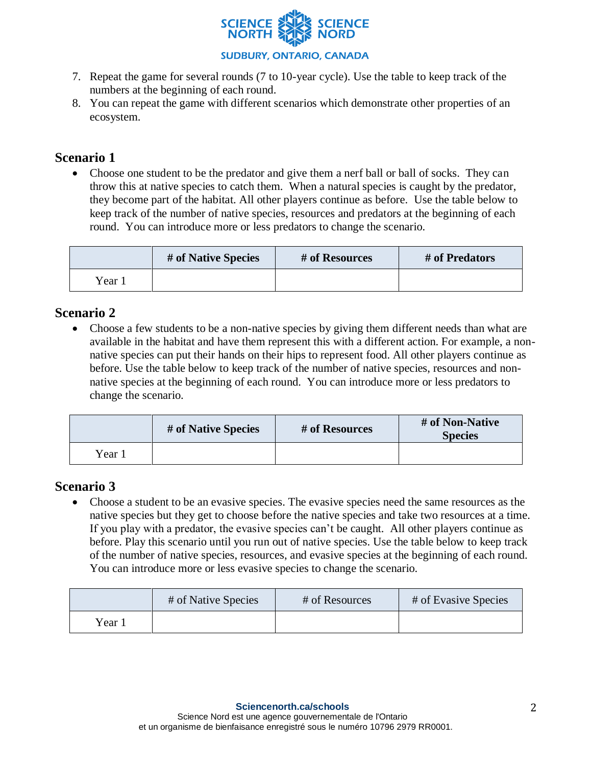

- 7. Repeat the game for several rounds (7 to 10-year cycle). Use the table to keep track of the numbers at the beginning of each round.
- 8. You can repeat the game with different scenarios which demonstrate other properties of an ecosystem.

## **Scenario 1**

• Choose one student to be the predator and give them a nerf ball or ball of socks. They can throw this at native species to catch them. When a natural species is caught by the predator, they become part of the habitat. All other players continue as before. Use the table below to keep track of the number of native species, resources and predators at the beginning of each round. You can introduce more or less predators to change the scenario.

|        | # of Native Species | # of Resources | # of Predators |
|--------|---------------------|----------------|----------------|
| Year 1 |                     |                |                |

## **Scenario 2**

• Choose a few students to be a non-native species by giving them different needs than what are available in the habitat and have them represent this with a different action. For example, a nonnative species can put their hands on their hips to represent food. All other players continue as before. Use the table below to keep track of the number of native species, resources and nonnative species at the beginning of each round. You can introduce more or less predators to change the scenario.

|      | # of Native Species | # of Resources | # of Non-Native<br><b>Species</b> |
|------|---------------------|----------------|-----------------------------------|
| Year |                     |                |                                   |

## **Scenario 3**

• Choose a student to be an evasive species. The evasive species need the same resources as the native species but they get to choose before the native species and take two resources at a time. If you play with a predator, the evasive species can't be caught. All other players continue as before. Play this scenario until you run out of native species. Use the table below to keep track of the number of native species, resources, and evasive species at the beginning of each round. You can introduce more or less evasive species to change the scenario.

|          | # of Native Species | # of Resources | # of Evasive Species |
|----------|---------------------|----------------|----------------------|
| $Vear$ . |                     |                |                      |